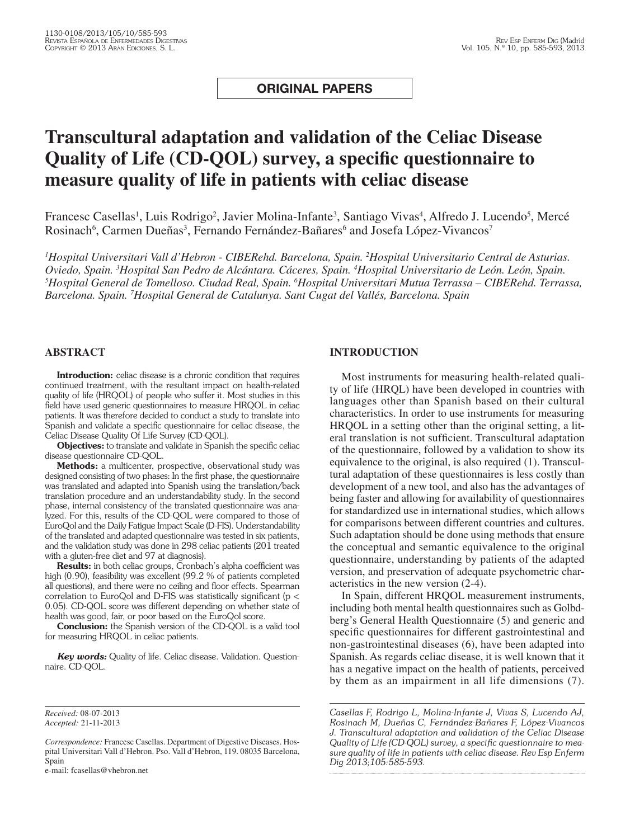# ORIGINAL PAPERS

# **Transcultural adaptation and validation of the Celiac Disease Quality of Life (CD-QOL) survey, a specific questionnaire to measure quality of life in patients with celiac disease**

Francesc Casellas<sup>1</sup>, Luis Rodrigo<sup>2</sup>, Javier Molina-Infante<sup>3</sup>, Santiago Vivas<sup>4</sup>, Alfredo J. Lucendo<sup>5</sup>, Mercé Rosinach<sup>6</sup>, Carmen Dueñas<sup>3</sup>, Fernando Fernández-Bañares<sup>6</sup> and Josefa López-Vivancos<sup>7</sup>

<sup>1</sup>Hospital Universitari Vall d'Hebron - CIBERehd. Barcelona, Spain. <sup>2</sup>Hospital Universitario Central de Asturias. *Oviedo, Spain. 3 Hospital San Pedro de Alcántara. Cáceres, Spain. 4 Hospital Universitario de León. León, Spain. 5 Hospital General de Tomelloso. Ciudad Real, Spain. 6 Hospital Universitari Mutua Terrassa – CIBERehd. Terrassa, Barcelona. Spain. 7 Hospital General de Catalunya. Sant Cugat del Vallés, Barcelona. Spain*

# **ABSTRACT**

Introduction: celiac disease is a chronic condition that requires continued treatment, with the resultant impact on health-related quality of life (HRQOL) of people who suffer it. Most studies in this field have used generic questionnaires to measure HRQOL in celiac patients. It was therefore decided to conduct a study to translate into Spanish and validate a specific questionnaire for celiac disease, the Celiac Disease Quality Of Life Survey (CD-QOL).

Objectives: to translate and validate in Spanish the specific celiac disease questionnaire CD-QOL.

Methods: a multicenter, prospective, observational study was designed consisting of two phases: In the first phase, the questionnaire was translated and adapted into Spanish using the translation/back translation procedure and an understandability study. In the second phase, internal consistency of the translated questionnaire was analyzed. For this, results of the CD-QOL were compared to those of EuroQol and the Daily Fatigue Impact Scale (D-FIS). Understandability of the translated and adapted questionnaire was tested in six patients, and the validation study was done in 298 celiac patients (201 treated with a gluten-free diet and 97 at diagnosis).

Results: in both celiac groups, Cronbach's alpha coefficient was high (0.90), feasibility was excellent (99.2 % of patients completed all questions), and there were no ceiling and floor effects. Spearman correlation to EuroQol and D-FIS was statistically significant (p < 0.05). CD-QOL score was different depending on whether state of health was good, fair, or poor based on the EuroQol score.

**Conclusion:** the Spanish version of the CD-QOL is a valid tool for measuring HRQOL in celiac patients.

*Key words:* Quality of life. Celiac disease. Validation. Questionnaire. CD-QOL.

e-mail: fcasellas@vhebron.net

# **INTRODUCTION**

Most instruments for measuring health-related quality of life (HRQL) have been developed in countries with languages other than Spanish based on their cultural characteristics. In order to use instruments for measuring HRQOL in a setting other than the original setting, a literal translation is not sufficient. Transcultural adaptation of the questionnaire, followed by a validation to show its equivalence to the original, is also required (1). Transcultural adaptation of these questionnaires is less costly than development of a new tool, and also has the advantages of being faster and allowing for availability of questionnaires for standardized use in international studies, which allows for comparisons between different countries and cultures. Such adaptation should be done using methods that ensure the conceptual and semantic equivalence to the original questionnaire, understanding by patients of the adapted version, and preservation of adequate psychometric characteristics in the new version (2-4).

In Spain, different HRQOL measurement instruments, including both mental health questionnaires such as Golbdberg's General Health Questionnaire (5) and generic and specific questionnaires for different gastrointestinal and non-gastrointestinal diseases (6), have been adapted into Spanish. As regards celiac disease, it is well known that it has a negative impact on the health of patients, perceived by them as an impairment in all life dimensions (7).

*Casellas F, Rodrigo L, Molina-Infante J, Vivas S, Lucendo AJ, Rosinach M, Dueñas C, Fernández-Bañares F, López-Vivancos J. Transcultural adaptation and validation of the Celiac Disease Quality of Life (CD-QOL) survey, a specific questionnaire to measure quality of life in patients with celiac disease. Rev Esp Enferm Dig 2013;105:585-593.*

*Received:* 08-07-2013 *Accepted:* 21-11-2013

*Correspondence:* Francesc Casellas. Department of Digestive Diseases. Hospital Universitari Vall d'Hebron. Pso. Vall d'Hebron, 119. 08035 Barcelona, Spain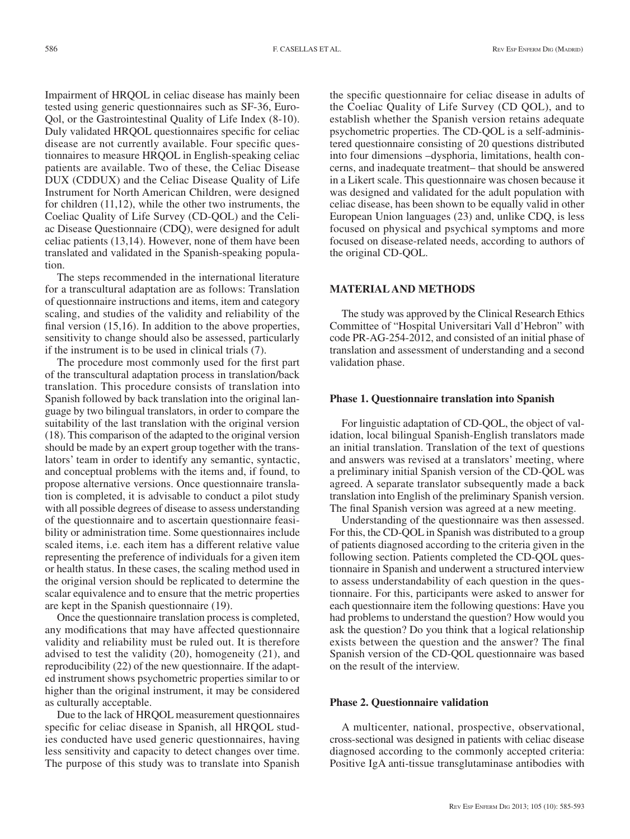Impairment of HRQOL in celiac disease has mainly been tested using generic questionnaires such as SF-36, Euro-Qol, or the Gastrointestinal Quality of Life Index (8-10). Duly validated HRQOL questionnaires specific for celiac disease are not currently available. Four specific questionnaires to measure HRQOL in English-speaking celiac patients are available. Two of these, the Celiac Disease DUX (CDDUX) and the Celiac Disease Quality of Life Instrument for North American Children, were designed for children (11,12), while the other two instruments, the Coeliac Quality of Life Survey (CD-QOL) and the Celiac Disease Questionnaire (CDQ), were designed for adult celiac patients (13,14). However, none of them have been translated and validated in the Spanish-speaking population.

The steps recommended in the international literature for a transcultural adaptation are as follows: Translation of questionnaire instructions and items, item and category scaling, and studies of the validity and reliability of the final version (15,16). In addition to the above properties, sensitivity to change should also be assessed, particularly if the instrument is to be used in clinical trials (7).

The procedure most commonly used for the first part of the transcultural adaptation process in translation/back translation. This procedure consists of translation into Spanish followed by back translation into the original language by two bilingual translators, in order to compare the suitability of the last translation with the original version (18). This comparison of the adapted to the original version should be made by an expert group together with the translators' team in order to identify any semantic, syntactic, and conceptual problems with the items and, if found, to propose alternative versions. Once questionnaire translation is completed, it is advisable to conduct a pilot study with all possible degrees of disease to assess understanding of the questionnaire and to ascertain questionnaire feasibility or administration time. Some questionnaires include scaled items, i.e. each item has a different relative value representing the preference of individuals for a given item or health status. In these cases, the scaling method used in the original version should be replicated to determine the scalar equivalence and to ensure that the metric properties are kept in the Spanish questionnaire (19).

Once the questionnaire translation process is completed, any modifications that may have affected questionnaire validity and reliability must be ruled out. It is therefore advised to test the validity (20), homogeneity (21), and reproducibility (22) of the new questionnaire. If the adapted instrument shows psychometric properties similar to or higher than the original instrument, it may be considered as culturally acceptable.

Due to the lack of HRQOL measurement questionnaires specific for celiac disease in Spanish, all HRQOL studies conducted have used generic questionnaires, having less sensitivity and capacity to detect changes over time. The purpose of this study was to translate into Spanish

the specific questionnaire for celiac disease in adults of the Coeliac Quality of Life Survey (CD QOL), and to establish whether the Spanish version retains adequate psychometric properties. The CD-QOL is a self-administered questionnaire consisting of 20 questions distributed into four dimensions –dysphoria, limitations, health concerns, and inadequate treatment– that should be answered in a Likert scale. This questionnaire was chosen because it was designed and validated for the adult population with celiac disease, has been shown to be equally valid in other European Union languages (23) and, unlike CDQ, is less focused on physical and psychical symptoms and more focused on disease-related needs, according to authors of the original CD-QOL.

## **MATERIAL AND METHODS**

The study was approved by the Clinical Research Ethics Committee of "Hospital Universitari Vall d'Hebron" with code PR-AG-254-2012, and consisted of an initial phase of translation and assessment of understanding and a second validation phase.

#### **Phase 1. Questionnaire translation into Spanish**

For linguistic adaptation of CD-QOL, the object of validation, local bilingual Spanish-English translators made an initial translation. Translation of the text of questions and answers was revised at a translators' meeting, where a preliminary initial Spanish version of the CD-QOL was agreed. A separate translator subsequently made a back translation into English of the preliminary Spanish version. The final Spanish version was agreed at a new meeting.

Understanding of the questionnaire was then assessed. For this, the CD-QOL in Spanish was distributed to a group of patients diagnosed according to the criteria given in the following section. Patients completed the CD-QOL questionnaire in Spanish and underwent a structured interview to assess understandability of each question in the questionnaire. For this, participants were asked to answer for each questionnaire item the following questions: Have you had problems to understand the question? How would you ask the question? Do you think that a logical relationship exists between the question and the answer? The final Spanish version of the CD-QOL questionnaire was based on the result of the interview.

#### **Phase 2. Questionnaire validation**

A multicenter, national, prospective, observational, cross-sectional was designed in patients with celiac disease diagnosed according to the commonly accepted criteria: Positive IgA anti-tissue transglutaminase antibodies with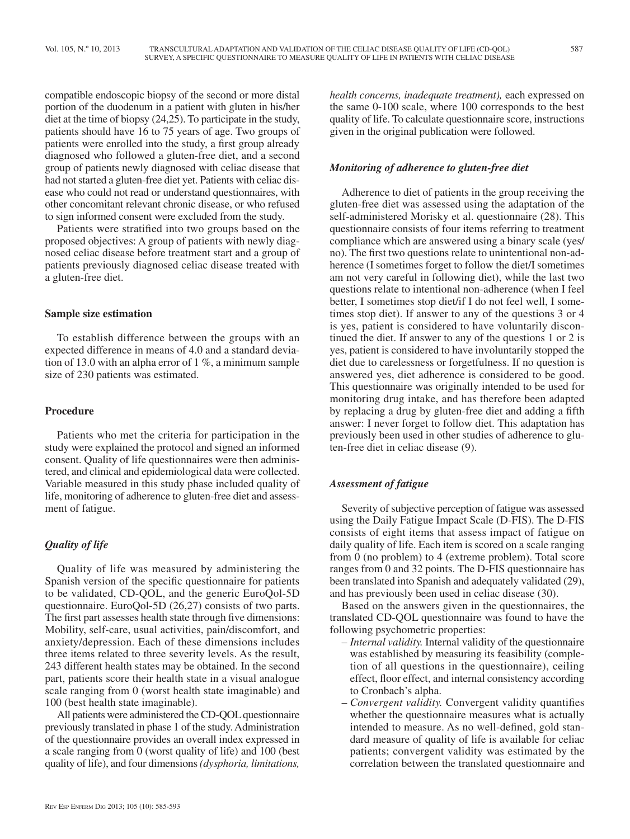compatible endoscopic biopsy of the second or more distal portion of the duodenum in a patient with gluten in his/her diet at the time of biopsy (24,25). To participate in the study, patients should have 16 to 75 years of age. Two groups of patients were enrolled into the study, a first group already diagnosed who followed a gluten-free diet, and a second group of patients newly diagnosed with celiac disease that had not started a gluten-free diet yet. Patients with celiac disease who could not read or understand questionnaires, with other concomitant relevant chronic disease, or who refused to sign informed consent were excluded from the study.

Patients were stratified into two groups based on the proposed objectives: A group of patients with newly diagnosed celiac disease before treatment start and a group of patients previously diagnosed celiac disease treated with a gluten-free diet.

## **Sample size estimation**

To establish difference between the groups with an expected difference in means of 4.0 and a standard deviation of 13.0 with an alpha error of 1 %, a minimum sample size of 230 patients was estimated.

# **Procedure**

Patients who met the criteria for participation in the study were explained the protocol and signed an informed consent. Quality of life questionnaires were then administered, and clinical and epidemiological data were collected. Variable measured in this study phase included quality of life, monitoring of adherence to gluten-free diet and assessment of fatigue.

# *Quality of life*

Quality of life was measured by administering the Spanish version of the specific questionnaire for patients to be validated, CD-QOL, and the generic EuroQol-5D questionnaire. EuroQol-5D (26,27) consists of two parts. The first part assesses health state through five dimensions: Mobility, self-care, usual activities, pain/discomfort, and anxiety/depression. Each of these dimensions includes three items related to three severity levels. As the result, 243 different health states may be obtained. In the second part, patients score their health state in a visual analogue scale ranging from 0 (worst health state imaginable) and 100 (best health state imaginable).

All patients were administered the CD-QOL questionnaire previously translated in phase 1 of the study. Administration of the questionnaire provides an overall index expressed in a scale ranging from 0 (worst quality of life) and 100 (best quality of life), and four dimensions *(dysphoria, limitations,* 

*health concerns, inadequate treatment),* each expressed on the same 0-100 scale, where 100 corresponds to the best quality of life. To calculate questionnaire score, instructions given in the original publication were followed.

# *Monitoring of adherence to gluten-free diet*

Adherence to diet of patients in the group receiving the gluten-free diet was assessed using the adaptation of the self-administered Morisky et al. questionnaire (28). This questionnaire consists of four items referring to treatment compliance which are answered using a binary scale (yes/ no). The first two questions relate to unintentional non-adherence (I sometimes forget to follow the diet/I sometimes am not very careful in following diet), while the last two questions relate to intentional non-adherence (when I feel better, I sometimes stop diet/if I do not feel well, I sometimes stop diet). If answer to any of the questions 3 or 4 is yes, patient is considered to have voluntarily discontinued the diet. If answer to any of the questions 1 or 2 is yes, patient is considered to have involuntarily stopped the diet due to carelessness or forgetfulness. If no question is answered yes, diet adherence is considered to be good. This questionnaire was originally intended to be used for monitoring drug intake, and has therefore been adapted by replacing a drug by gluten-free diet and adding a fifth answer: I never forget to follow diet. This adaptation has previously been used in other studies of adherence to gluten-free diet in celiac disease (9).

#### *Assessment of fatigue*

Severity of subjective perception of fatigue was assessed using the Daily Fatigue Impact Scale (D-FIS). The D-FIS consists of eight items that assess impact of fatigue on daily quality of life. Each item is scored on a scale ranging from 0 (no problem) to 4 (extreme problem). Total score ranges from 0 and 32 points. The D-FIS questionnaire has been translated into Spanish and adequately validated (29), and has previously been used in celiac disease (30).

Based on the answers given in the questionnaires, the translated CD-QOL questionnaire was found to have the following psychometric properties:

- *Internal validity.* Internal validity of the questionnaire was established by measuring its feasibility (completion of all questions in the questionnaire), ceiling effect, floor effect, and internal consistency according to Cronbach's alpha.
- *Convergent validity.* Convergent validity quantifies whether the questionnaire measures what is actually intended to measure. As no well-defined, gold standard measure of quality of life is available for celiac patients; convergent validity was estimated by the correlation between the translated questionnaire and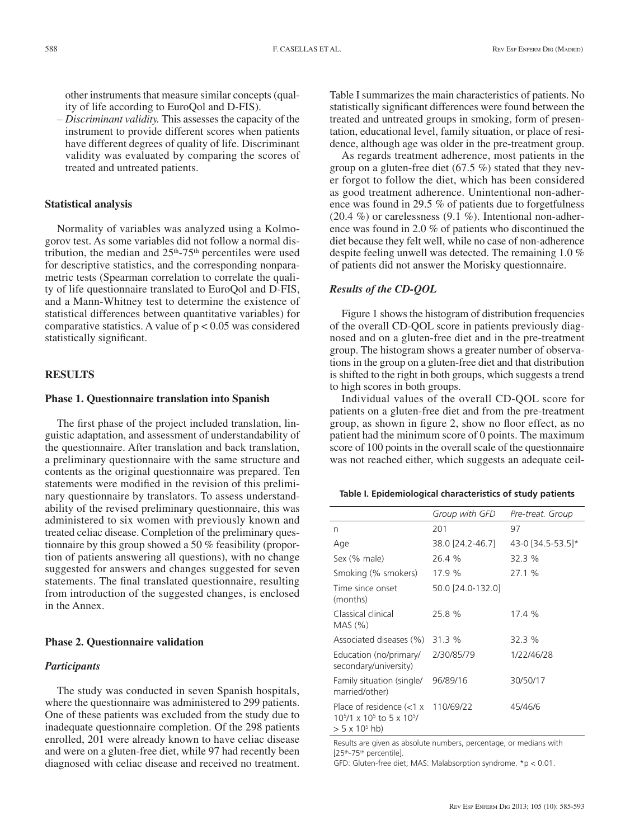other instruments that measure similar concepts (quality of life according to EuroQol and D-FIS).

– *Discriminant validity.* This assesses the capacity of the instrument to provide different scores when patients have different degrees of quality of life. Discriminant validity was evaluated by comparing the scores of treated and untreated patients.

#### **Statistical analysis**

Normality of variables was analyzed using a Kolmogorov test. As some variables did not follow a normal distribution, the median and  $25<sup>th</sup>-75<sup>th</sup>$  percentiles were used for descriptive statistics, and the corresponding nonparametric tests (Spearman correlation to correlate the quality of life questionnaire translated to EuroQol and D-FIS, and a Mann-Whitney test to determine the existence of statistical differences between quantitative variables) for comparative statistics. A value of  $p < 0.05$  was considered statistically significant.

#### **RESULTS**

#### **Phase 1. Questionnaire translation into Spanish**

The first phase of the project included translation, linguistic adaptation, and assessment of understandability of the questionnaire. After translation and back translation, a preliminary questionnaire with the same structure and contents as the original questionnaire was prepared. Ten statements were modified in the revision of this preliminary questionnaire by translators. To assess understandability of the revised preliminary questionnaire, this was administered to six women with previously known and treated celiac disease. Completion of the preliminary questionnaire by this group showed a 50 % feasibility (proportion of patients answering all questions), with no change suggested for answers and changes suggested for seven statements. The final translated questionnaire, resulting from introduction of the suggested changes, is enclosed in the Annex.

#### **Phase 2. Questionnaire validation**

#### *Participants*

The study was conducted in seven Spanish hospitals, where the questionnaire was administered to 299 patients. One of these patients was excluded from the study due to inadequate questionnaire completion. Of the 298 patients enrolled, 201 were already known to have celiac disease and were on a gluten-free diet, while 97 had recently been diagnosed with celiac disease and received no treatment.

Table I summarizes the main characteristics of patients. No statistically significant differences were found between the treated and untreated groups in smoking, form of presentation, educational level, family situation, or place of residence, although age was older in the pre-treatment group.

As regards treatment adherence, most patients in the group on a gluten-free diet (67.5 %) stated that they never forgot to follow the diet, which has been considered as good treatment adherence. Unintentional non-adherence was found in 29.5 % of patients due to forgetfulness (20.4 %) or carelessness (9.1 %). Intentional non-adherence was found in 2.0 % of patients who discontinued the diet because they felt well, while no case of non-adherence despite feeling unwell was detected. The remaining 1.0 % of patients did not answer the Morisky questionnaire.

# *Results of the CD-QOL*

Figure 1 shows the histogram of distribution frequencies of the overall CD-QOL score in patients previously diagnosed and on a gluten-free diet and in the pre-treatment group. The histogram shows a greater number of observations in the group on a gluten-free diet and that distribution is shifted to the right in both groups, which suggests a trend to high scores in both groups.

Individual values of the overall CD-QOL score for patients on a gluten-free diet and from the pre-treatment group, as shown in figure 2, show no floor effect, as no patient had the minimum score of 0 points. The maximum score of 100 points in the overall scale of the questionnaire was not reached either, which suggests an adequate ceil-

**Table I. Epidemiological characteristics of study patients**

|                                                                                                                 | Group with GFD    | Pre-treat. Group  |
|-----------------------------------------------------------------------------------------------------------------|-------------------|-------------------|
| n                                                                                                               | 201               | 97                |
| Age                                                                                                             | 38.0 24.2-46.7    | 43-0 [34.5-53.5]* |
| Sex (% male)                                                                                                    | 26.4 %            | 32.3 %            |
| Smoking (% smokers)                                                                                             | 17.9%             | 27.1 %            |
| Time since onset<br>(months)                                                                                    | 50.0 [24.0-132.0] |                   |
| Classical clinical<br>MAS (%)                                                                                   | 25.8%             | 17.4%             |
| Associated diseases (%)                                                                                         | 31.3%             | 32.3 %            |
| Education (no/primary/<br>secondary/university)                                                                 | 2/30/85/79        | 1/22/46/28        |
| Family situation (single/<br>married/other)                                                                     | 96/89/16          | 30/50/17          |
| Place of residence $\left($ < 1 x<br>$10^{5}/1 \times 10^{5}$ to 5 x 10 <sup>5</sup> /<br>$> 5 \times 10^5$ hb) | 110/69/22         | 45/46/6           |

Results are given as absolute numbers, percentage, or medians with [25th-75th percentile].

GFD: Gluten-free diet; MAS: Malabsorption syndrome. \*p < 0.01.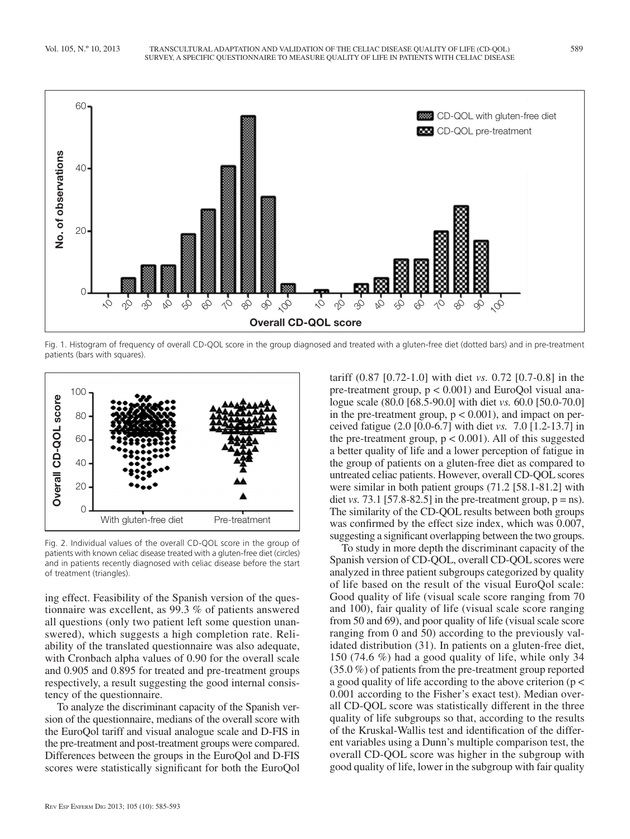

Fig. 1. Histogram of frequency of overall CD-QOL score in the group diagnosed and treated with a gluten-free diet (dotted bars) and in pre-treatment patients (bars with squares).



Fig. 2. Individual values of the overall CD-QOL score in the group of patients with known celiac disease treated with a gluten-free diet (circles) and in patients recently diagnosed with celiac disease before the start of treatment (triangles).

ing effect. Feasibility of the Spanish version of the questionnaire was excellent, as 99.3 % of patients answered all questions (only two patient left some question unanswered), which suggests a high completion rate. Reliability of the translated questionnaire was also adequate, with Cronbach alpha values of 0.90 for the overall scale and 0.905 and 0.895 for treated and pre-treatment groups respectively, a result suggesting the good internal consistency of the questionnaire.

To analyze the discriminant capacity of the Spanish version of the questionnaire, medians of the overall score with the EuroQol tariff and visual analogue scale and D-FIS in the pre-treatment and post-treatment groups were compared. Differences between the groups in the EuroQol and D-FIS scores were statistically significant for both the EuroQol

tariff (0.87 [0.72-1.0] with diet *vs.* 0.72 [0.7-0.8] in the pre-treatment group,  $p < 0.001$ ) and EuroQol visual analogue scale (80.0 [68.5-90.0] with diet *vs.* 60.0 [50.0-70.0] in the pre-treatment group,  $p < 0.001$ ), and impact on perceived fatigue (2.0 [0.0-6.7] with diet *vs.* 7.0 [1.2-13.7] in the pre-treatment group,  $p < 0.001$ ). All of this suggested a better quality of life and a lower perception of fatigue in the group of patients on a gluten-free diet as compared to untreated celiac patients. However, overall CD-QOL scores were similar in both patient groups (71.2 [58.1-81.2] with diet *vs.* 73.1 [57.8-82.5] in the pre-treatment group,  $p = ns$ ). The similarity of the CD-QOL results between both groups was confirmed by the effect size index, which was 0.007, suggesting a significant overlapping between the two groups.

To study in more depth the discriminant capacity of the Spanish version of CD-QOL, overall CD-QOL scores were analyzed in three patient subgroups categorized by quality of life based on the result of the visual EuroQol scale: Good quality of life (visual scale score ranging from 70 and 100), fair quality of life (visual scale score ranging from 50 and 69), and poor quality of life (visual scale score ranging from 0 and 50) according to the previously validated distribution (31). In patients on a gluten-free diet, 150 (74.6 %) had a good quality of life, while only 34 (35.0 %) of patients from the pre-treatment group reported a good quality of life according to the above criterion (p < 0.001 according to the Fisher's exact test). Median overall CD-QOL score was statistically different in the three quality of life subgroups so that, according to the results of the Kruskal-Wallis test and identification of the different variables using a Dunn's multiple comparison test, the overall CD-QOL score was higher in the subgroup with good quality of life, lower in the subgroup with fair quality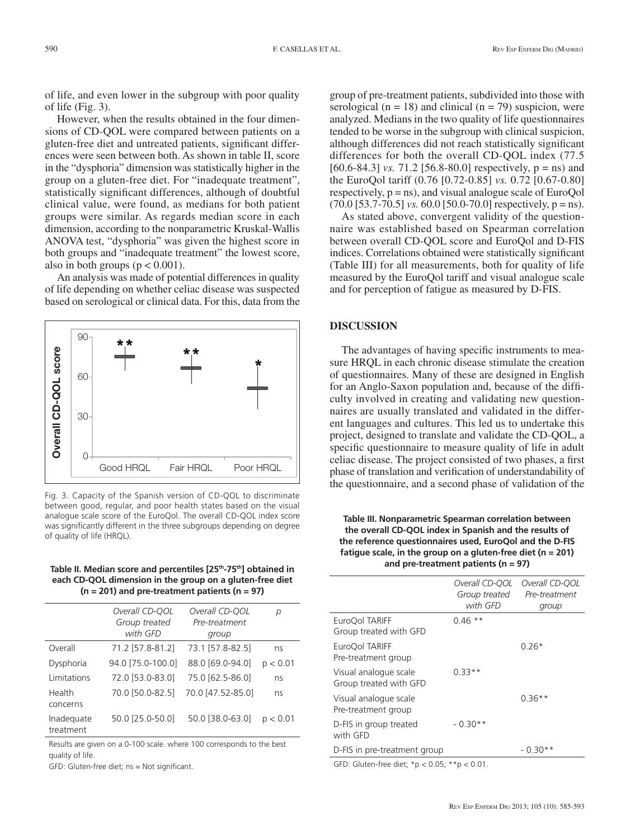of life, and even lower in the subgroup with poor quality of life (Fig. 3).

However, when the results obtained in the four dimensions of CD-QOL were compared between patients on a gluten-free diet and untreated patients, significant differences were seen between both. As shown in table II, score in the "dysphoria" dimension was statistically higher in the group on a gluten-free diet. For "inadequate treatment", statistically significant differences, although of doubtful clinical value, were found, as medians for both patient groups were similar. As regards median score in each dimension, according to the nonparametric Kruskal-Wallis ANOVA test, "dysphoria" was given the highest score in both groups and "inadequate treatment" the lowest score, also in both groups ( $p < 0.001$ ).

An analysis was made of potential differences in quality of life depending on whether celiac disease was suspected based on serological or clinical data. For this, data from the



Fig. 3. Capacity of the Spanish version of CD-QOL to discriminate between good, regular, and poor health states based on the visual analogue scale score of the EuroQol. The overall CD-QOL index score was significantly different in the three subgroups depending on degree of quality of life (HRQL).

**Table II. Median score and percentiles [25th-75th] obtained in each CD-QOL dimension in the group on a gluten-free diet (n = 201) and pre-treatment patients (n = 97)**

|                         | Overall CD-QOL<br>Group treated<br>with GFD | Overall CD-QOL<br>Pre-treatment<br>group | р        |
|-------------------------|---------------------------------------------|------------------------------------------|----------|
| Overall                 | 71.2 [57.8-81.2]                            | 73.1 [57.8-82.5]                         | ns       |
| Dysphoria               | 94.0 [75.0-100.0]                           | 88.0 [69.0-94.0]                         | p < 0.01 |
| Limitations             | 72.0 [53.0-83.0]                            | 75.0 [62.5-86.0]                         | ns       |
| Health<br>concerns      | 70.0 [50.0-82.5]                            | 70.0 [47.52-85.0]                        | ns       |
| Inadequate<br>treatment | 50.0 [25.0-50.0]                            | 50.0 [38.0-63.0]                         | p < 0.01 |

Results are given on a 0-100 scale. where 100 corresponds to the best quality of life.

GFD: Gluten-free diet; ns = Not significant.

group of pre-treatment patients, subdivided into those with serological ( $n = 18$ ) and clinical ( $n = 79$ ) suspicion, were analyzed. Medians in the two quality of life questionnaires tended to be worse in the subgroup with clinical suspicion, although differences did not reach statistically significant differences for both the overall CD-QOL index (77.5  $[60.6-84.3]$  *vs.* 71.2 [56.8-80.0] respectively,  $p =$ ns) and the EuroQol tariff (0.76 [0.72-0.85] *vs.* 0.72 [0.67-0.80] respectively,  $p = ns$ ), and visual analogue scale of EuroQol  $(70.0 [53.7-70.5] \text{ vs. } 60.0 [50.0-70.0] \text{ respectively, } p = \text{ns}.$ 

As stated above, convergent validity of the questionnaire was established based on Spearman correlation between overall CD-QOL score and EuroQol and D-FIS indices. Correlations obtained were statistically significant (Table III) for all measurements, both for quality of life measured by the EuroQol tariff and visual analogue scale and for perception of fatigue as measured by D-FIS.

# **DISCUSSION**

The advantages of having specific instruments to measure HRQL in each chronic disease stimulate the creation of questionnaires. Many of these are designed in English for an Anglo-Saxon population and, because of the difficulty involved in creating and validating new questionnaires are usually translated and validated in the different languages and cultures. This led us to undertake this project, designed to translate and validate the CD-QOL, a specific questionnaire to measure quality of life in adult celiac disease. The project consisted of two phases, a first phase of translation and verification of understandability of the questionnaire, and a second phase of validation of the

**Table III. Nonparametric Spearman correlation between the overall CD-QOL index in Spanish and the results of the reference questionnaires used, EuroQol and the D-FIS fatigue scale, in the group on a gluten-free diet (n = 201) and pre-treatment patients (n = 97)**

|                                                 | Overall CD-QOL<br>Group treated<br>with GFD | Overall CD-QOL<br>Pre-treatment<br>group |
|-------------------------------------------------|---------------------------------------------|------------------------------------------|
| EuroQol TARIFF<br>Group treated with GFD        | $0.46**$                                    |                                          |
| EuroQol TARIFF<br>Pre-treatment group           |                                             | 0 26*                                    |
| Visual analogue scale<br>Group treated with GFD | $0.33**$                                    |                                          |
| Visual analogue scale<br>Pre-treatment group    |                                             | $0.36**$                                 |
| D-FIS in group treated<br>with GFD              | $-0.30**$                                   |                                          |
| D-FIS in pre-treatment group                    |                                             | - 0.30                                   |

GFD: Gluten-free diet; \*p < 0.05; \*\*p < 0.01.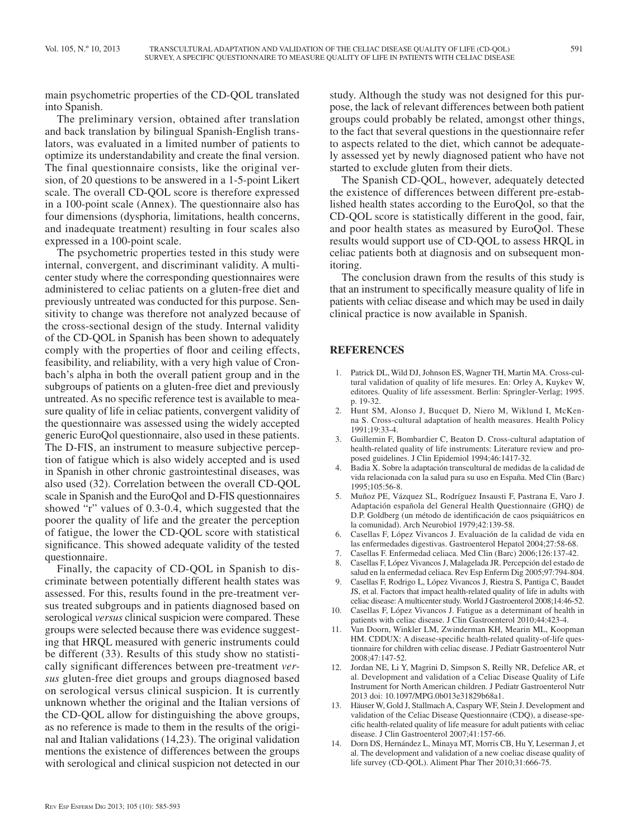main psychometric properties of the CD-QOL translated into Spanish.

The preliminary version, obtained after translation and back translation by bilingual Spanish-English translators, was evaluated in a limited number of patients to optimize its understandability and create the final version. The final questionnaire consists, like the original version, of 20 questions to be answered in a 1-5-point Likert scale. The overall CD-QOL score is therefore expressed in a 100-point scale (Annex). The questionnaire also has four dimensions (dysphoria, limitations, health concerns, and inadequate treatment) resulting in four scales also expressed in a 100-point scale.

The psychometric properties tested in this study were internal, convergent, and discriminant validity. A multicenter study where the corresponding questionnaires were administered to celiac patients on a gluten-free diet and previously untreated was conducted for this purpose. Sensitivity to change was therefore not analyzed because of the cross-sectional design of the study. Internal validity of the CD-QOL in Spanish has been shown to adequately comply with the properties of floor and ceiling effects, feasibility, and reliability, with a very high value of Cronbach's alpha in both the overall patient group and in the subgroups of patients on a gluten-free diet and previously untreated. As no specific reference test is available to measure quality of life in celiac patients, convergent validity of the questionnaire was assessed using the widely accepted generic EuroQol questionnaire, also used in these patients. The D-FIS, an instrument to measure subjective perception of fatigue which is also widely accepted and is used in Spanish in other chronic gastrointestinal diseases, was also used (32). Correlation between the overall CD-QOL scale in Spanish and the EuroQol and D-FIS questionnaires showed "r" values of 0.3-0.4, which suggested that the poorer the quality of life and the greater the perception of fatigue, the lower the CD-QOL score with statistical significance. This showed adequate validity of the tested questionnaire.

Finally, the capacity of CD-QOL in Spanish to discriminate between potentially different health states was assessed. For this, results found in the pre-treatment versus treated subgroups and in patients diagnosed based on serological *versus* clinical suspicion were compared. These groups were selected because there was evidence suggesting that HRQL measured with generic instruments could be different (33). Results of this study show no statistically significant differences between pre-treatment *versus* gluten-free diet groups and groups diagnosed based on serological versus clinical suspicion. It is currently unknown whether the original and the Italian versions of the CD-QOL allow for distinguishing the above groups, as no reference is made to them in the results of the original and Italian validations (14,23). The original validation mentions the existence of differences between the groups with serological and clinical suspicion not detected in our study. Although the study was not designed for this purpose, the lack of relevant differences between both patient groups could probably be related, amongst other things, to the fact that several questions in the questionnaire refer to aspects related to the diet, which cannot be adequately assessed yet by newly diagnosed patient who have not started to exclude gluten from their diets.

The Spanish CD-QOL, however, adequately detected the existence of differences between different pre-established health states according to the EuroQol, so that the CD-QOL score is statistically different in the good, fair, and poor health states as measured by EuroQol. These results would support use of CD-QOL to assess HRQL in celiac patients both at diagnosis and on subsequent monitoring.

The conclusion drawn from the results of this study is that an instrument to specifically measure quality of life in patients with celiac disease and which may be used in daily clinical practice is now available in Spanish.

# **REFERENCES**

- 1. Patrick DL, Wild DJ, Johnson ES, Wagner TH, Martin MA. Cross-cultural validation of quality of life mesures. En: Orley A, Kuykev W, editores. Quality of life assessment. Berlin: Springler-Verlag; 1995. p. 19-32.
- 2. Hunt SM, Alonso J, Bucquet D, Niero M, Wiklund I, McKenna S. Cross-cultural adaptation of health measures. Health Policy 1991;19:33-4.
- 3. Guillemin F, Bombardier C, Beaton D. Cross-cultural adaptation of health-related quality of life instruments: Literature review and proposed guidelines. J Clin Epidemiol 1994;46:1417-32.
- 4. Badia X. Sobre la adaptación transcultural de medidas de la calidad de vida relacionada con la salud para su uso en España. Med Clin (Barc) 1995;105:56-8.
- 5. Muñoz PE, Vázquez SL, Rodríguez Insausti F, Pastrana E, Varo J. Adaptación española del General Health Questionnaire (GHQ) de D.P. Goldberg (un método de identificación de caos psiquiátricos en la comunidad). Arch Neurobiol 1979;42:139-58.
- 6. Casellas F, López Vivancos J. Evaluación de la calidad de vida en las enfermedades digestivas. Gastroenterol Hepatol 2004;27:58-68.
- 7. Casellas F. Enfermedad celiaca. Med Clin (Barc) 2006;126:137-42. 8. Casellas F, López Vivancos J, Malagelada JR. Percepción del estado de
- salud en la enfermedad celiaca. Rev Esp Enferm Dig 2005;97:794-804. 9. Casellas F, Rodrigo L, López Vivancos J, Riestra S, Pantiga C, Baudet
- JS, et al. Factors that impact health-related quality of life in adults with celiac disease: A multicenter study. World J Gastroenterol 2008;14:46-52.
- 10. Casellas F, López Vivancos J. Fatigue as a determinant of health in patients with celiac disease. J Clin Gastroenterol 2010;44:423-4.
- 11. Van Doorn, Winkler LM, Zwinderman KH, Mearin ML, Koopman HM. CDDUX: A disease-specific health-related quality-of-life questionnaire for children with celiac disease. J Pediatr Gastroenterol Nutr 2008;47:147-52.
- 12. Jordan NE, Li Y, Magrini D, Simpson S, Reilly NR, Defelice AR, et al. Development and validation of a Celiac Disease Quality of Life Instrument for North American children. J Pediatr Gastroenterol Nutr 2013 doi: 10.1097/MPG.0b013e31829b68a1.
- 13. Häuser W, Gold J, Stallmach A, Caspary WF, Stein J. Development and validation of the Celiac Disease Questionnaire (CDQ), a disease-specific health-related quality of life measure for adult patients with celiac disease. J Clin Gastroenterol 2007;41:157-66.
- 14. Dorn DS, Hernández L, Minaya MT, Morris CB, Hu Y, Leserman J, et al. The development and validation of a new coeliac disease quality of life survey (CD-QOL). Aliment Phar Ther 2010;31:666-75.